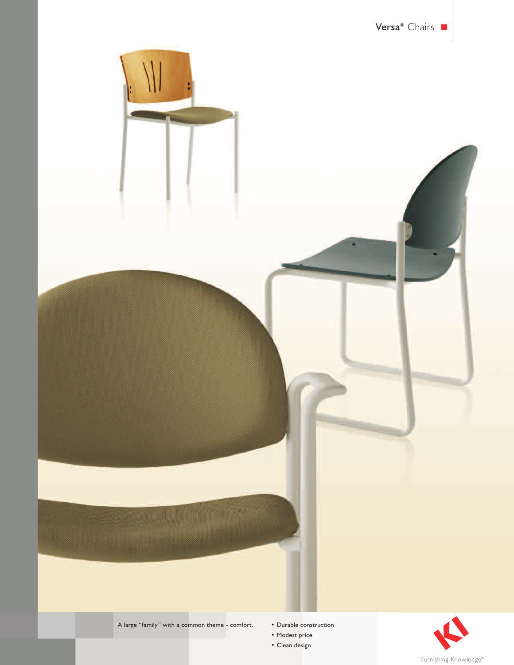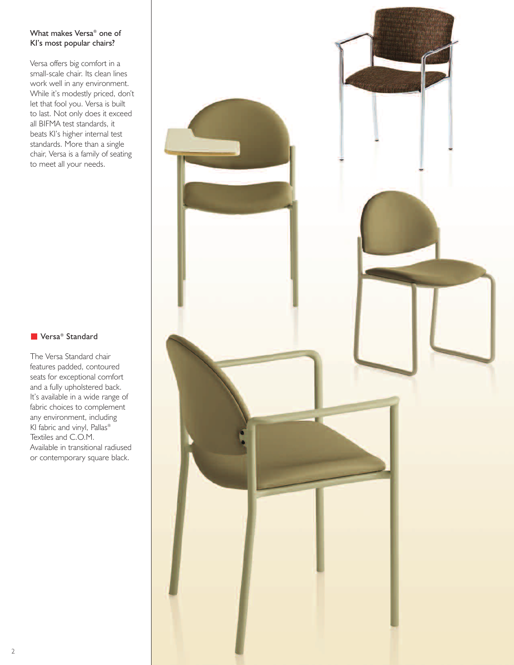## What makes Versa® one of KI's most popular chairs?

Versa offers big comfort in a small-scale chair. Its clean lines work well in any environment. While it's modestly priced, don't let that fool you. Versa is built to last. Not only does it exceed all BIFMA test standards, it beats KI's higher internal test standards. More than a single chair, Versa is a family of seating to meet all your needs.

## ■ Versa<sup>®</sup> Standard

The Versa Standard chair features padded, contoured seats for exceptional comfort and a fully upholstered back. It's available in a wide range of fabric choices to complement any environment, including KI fabric and vinyl, Pallas® Textiles and C.O.M. Available in transitional radiused or contemporary square black.

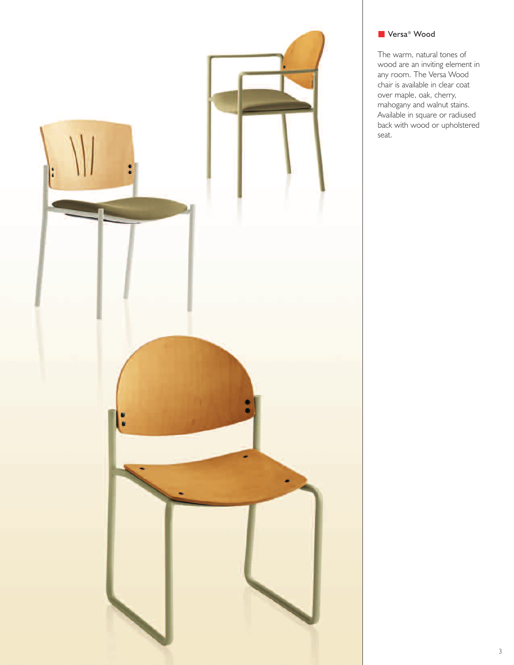

# ■ Versa<sup>®</sup> Wood

The warm, natural tones of wood are an inviting element in any room. The Versa Wood chair is available in clear coat over maple, oak, cherry, mahogany and walnut stains. Available in square or radiused back with wood or upholstered seat.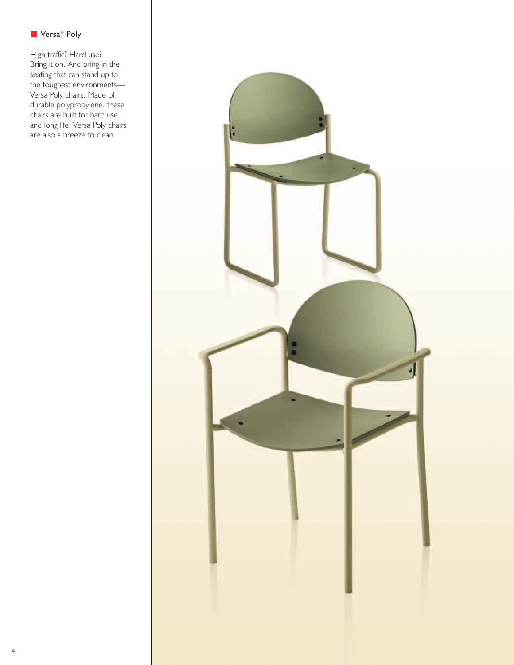

High traffic? Hard use? Bring it on. And bring in the seating that can stand up to the toughest environments— Versa Poly chairs. Made of durable polypropylene, these chairs are built for hard use and long life. Versa Poly chairs are also a breeze to clean.

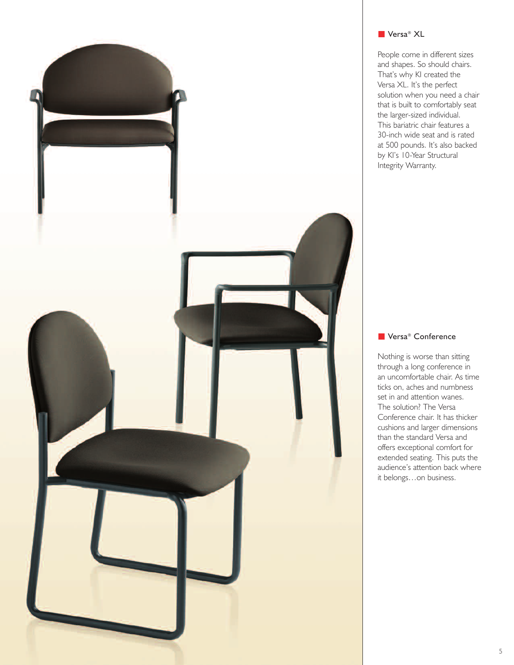

## ■ Versa<sup>®</sup> XL

People come in different sizes and shapes. So should chairs. That's why KI created the Versa XL. It's the perfect solution when you need a chair that is built to comfortably seat the larger-sized individual. This bariatric chair features a 30-inch wide seat and is rated at 500 pounds. It's also backed by KI's 10-Year Structural Integrity Warranty.

#### ■ Versa<sup>®</sup> Conference

Nothing is worse than sitting through a long conference in an uncomfortable chair. As time ticks on, aches and numbness set in and attention wanes. The solution? The Versa Conference chair. It has thicker cushions and larger dimensions than the standard Versa and offers exceptional comfort for extended seating. This puts the audience's attention back where it belongs…on business.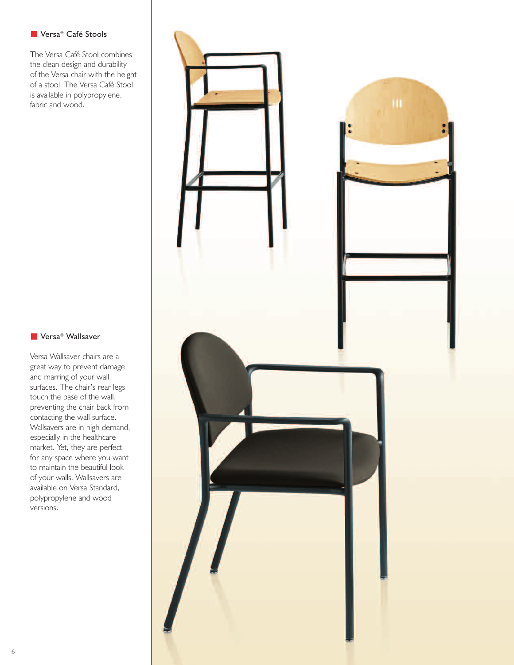## ■ Versa® Café Stools

The Versa Café Stool combines the clean design and durability of the Versa chair with the height of a stool. The Versa Café Stool is available in polypropylene, fabric and wood.

### ■ Versa<sup>®</sup> Wallsaver

Versa Wallsaver chairs are a great way to prevent damage and marring of your wall surfaces. The chair's rear legs touch the base of the wall, preventing the chair back from contacting the wall surface. Wallsavers are in high demand, especially in the healthcare market. Yet, they are perfect for any space where you want to maintain the beautiful look of your walls. Wallsavers are available on Versa Standard, polypropylene and wood versions.

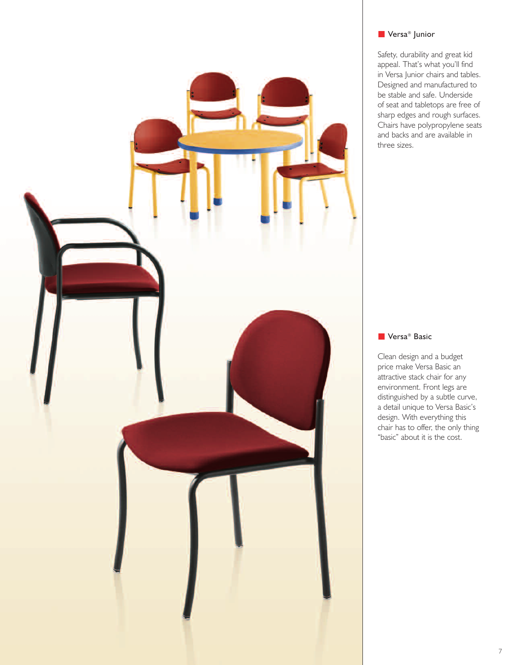

## ■ Versa<sup>®</sup> Junior

Safety, durability and great kid appeal. That's what you'll find in Versa Junior chairs and tables. Designed and manufactured to be stable and safe. Underside of seat and tabletops are free of sharp edges and rough surfaces. Chairs have polypropylene seats and backs and are available in three sizes.

### ■ Versa<sup>®</sup> Basic

Clean design and a budget price make Versa Basic an attractive stack chair for any environment. Front legs are distinguished by a subtle curve, a detail unique to Versa Basic's design. With everything this chair has to offer, the only thing "basic" about it is the cost.